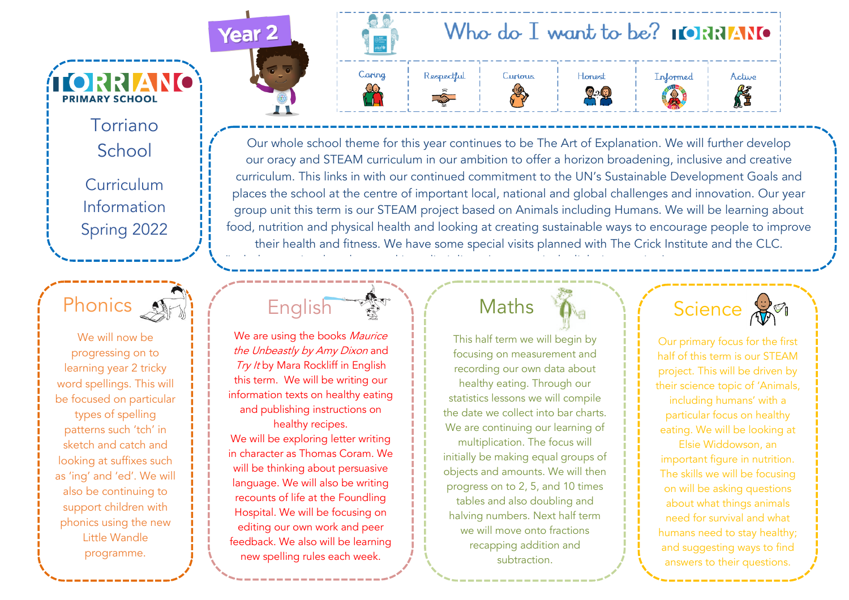School Curriculum Information Spring 2022

Torriano

**TORRIANO** 

**PRIMARY SCHOOL** 



We will now be progressing on to learning year 2 tricky word spellings. This will be focused on particular

types of spelling patterns such 'tch' in sketch and catch and looking at suffixes such as 'ing' and 'ed'. We will also be continuing to support children with phonics using the new Little Wandle programme.



ЛŢ



Our whole school theme for this year continues to be The Art of Explanation. We will further develop our oracy and STEAM curriculum in our ambition to offer a horizon broadening, inclusive and creative curriculum. This links in with our continued commitment to the UN's Sustainable Development Goals and places the school at the centre of important local, national and global challenges and innovation. Our year group unit this term is our STEAM project based on Animals including Humans. We will be learning about food, nutrition and physical health and looking at creating sustainable ways to encourage people to improve their health and fitness. We have some special visits planned with The Crick Institute and the CLC.



the Unbeastly by Amy Dixon and Try It by Mara Rockliff in English this term. We will be writing our information texts on healthy eating and publishing instructions on healthy recipes. We will be exploring letter writing in character as Thomas Coram. We will be thinking about persuasive language. We will also be writing recounts of life at the Foundling Hospital. We will be focusing on editing our own work and peer feedback. We also will be learning new spelling rules each week.

## Maths

(Include any trips, key dates and interdisciplinary/cross-curricular links in overview)

This half term we will begin by focusing on measurement and recording our own data about healthy eating. Through our statistics lessons we will compile the date we collect into bar charts. We are continuing our learning of multiplication. The focus will initially be making equal groups of objects and amounts. We will then progress on to 2, 5, and 10 times tables and also doubling and halving numbers. Next half term we will move onto fractions recapping addition and subtraction.

Science **B** 

Our primary focus for the first half of this term is our STEAM project. This will be driven by their science topic of 'Animals, including humans' with a particular focus on healthy eating. We will be looking at Elsie Widdowson, an important figure in nutrition. The skills we will be focusing on will be asking questions about what things animals need for survival and what humans need to stay healthy; and suggesting ways to find answers to their questions.